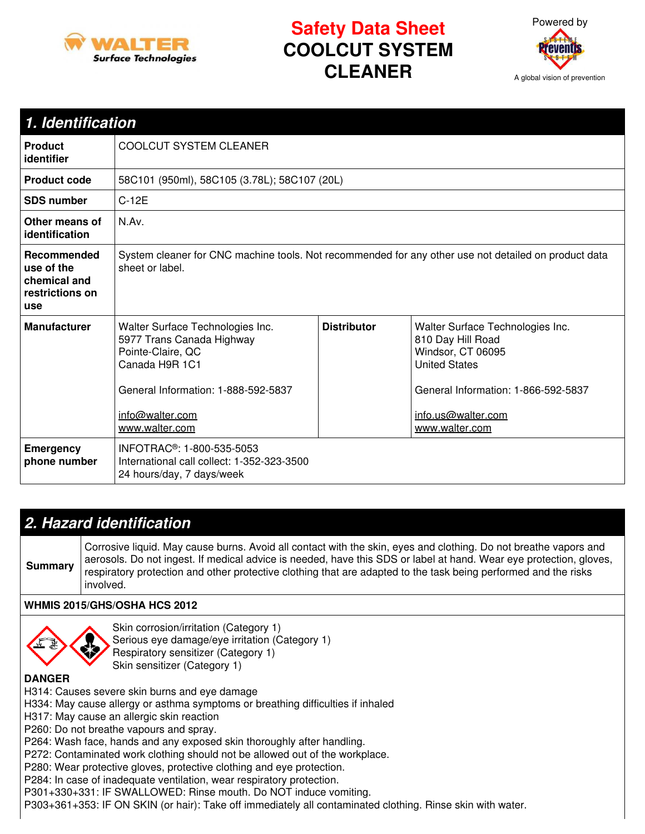

# **Safety Data Sheet COOLCUT SYSTEM CLEANER**



| 1. Identification                                                   |                                                                                                                                                                                  |                    |                                                                                                                                                                                   |  |  |
|---------------------------------------------------------------------|----------------------------------------------------------------------------------------------------------------------------------------------------------------------------------|--------------------|-----------------------------------------------------------------------------------------------------------------------------------------------------------------------------------|--|--|
| <b>Product</b><br>identifier                                        | <b>COOLCUT SYSTEM CLEANER</b>                                                                                                                                                    |                    |                                                                                                                                                                                   |  |  |
| <b>Product code</b>                                                 | 58C101 (950ml), 58C105 (3.78L); 58C107 (20L)                                                                                                                                     |                    |                                                                                                                                                                                   |  |  |
| <b>SDS number</b>                                                   | $C-12E$                                                                                                                                                                          |                    |                                                                                                                                                                                   |  |  |
| Other means of<br>identification                                    | N.Av.                                                                                                                                                                            |                    |                                                                                                                                                                                   |  |  |
| Recommended<br>use of the<br>chemical and<br>restrictions on<br>use | System cleaner for CNC machine tools. Not recommended for any other use not detailed on product data<br>sheet or label.                                                          |                    |                                                                                                                                                                                   |  |  |
| <b>Manufacturer</b>                                                 | Walter Surface Technologies Inc.<br>5977 Trans Canada Highway<br>Pointe-Claire, QC<br>Canada H9R 1C1<br>General Information: 1-888-592-5837<br>info@walter.com<br>www.walter.com | <b>Distributor</b> | Walter Surface Technologies Inc.<br>810 Day Hill Road<br>Windsor, CT 06095<br><b>United States</b><br>General Information: 1-866-592-5837<br>info.us@walter.com<br>www.walter.com |  |  |
| <b>Emergency</b><br>phone number                                    | INFOTRAC <sup>®</sup> : 1-800-535-5053<br>International call collect: 1-352-323-3500<br>24 hours/day, 7 days/week                                                                |                    |                                                                                                                                                                                   |  |  |

### *2. Hazard identification*

**Summary** Corrosive liquid. May cause burns. Avoid all contact with the skin, eyes and clothing. Do not breathe vapors and aerosols. Do not ingest. If medical advice is needed, have this SDS or label at hand. Wear eye protection, gloves, respiratory protection and other protective clothing that are adapted to the task being performed and the risks involved.

### **WHMIS 2015/GHS/OSHA HCS 2012**



Skin corrosion/irritation (Category 1) Serious eye damage/eye irritation (Category 1) Respiratory sensitizer (Category 1) Skin sensitizer (Category 1)

**DANGER**

H314: Causes severe skin burns and eye damage

H334: May cause allergy or asthma symptoms or breathing difficulties if inhaled

H317: May cause an allergic skin reaction

P260: Do not breathe vapours and spray.

P264: Wash face, hands and any exposed skin thoroughly after handling.

P272: Contaminated work clothing should not be allowed out of the workplace.

P280: Wear protective gloves, protective clothing and eye protection.

P284: In case of inadequate ventilation, wear respiratory protection.

P301+330+331: IF SWALLOWED: Rinse mouth. Do NOT induce vomiting.

P303+361+353: IF ON SKIN (or hair): Take off immediately all contaminated clothing. Rinse skin with water.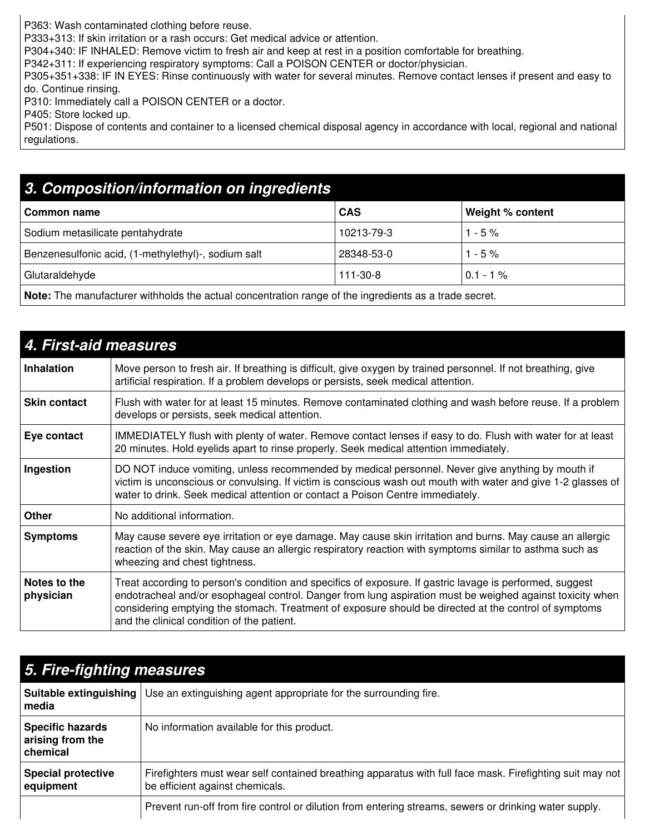P363: Wash contaminated clothing before reuse.

P333+313: If skin irritation or a rash occurs: Get medical advice or attention.

P304+340: IF INHALED: Remove victim to fresh air and keep at rest in a position comfortable for breathing.

P342+311: If experiencing respiratory symptoms: Call a POISON CENTER or doctor/physician.

P305+351+338: IF IN EYES: Rinse continuously with water for several minutes. Remove contact lenses if present and easy to do. Continue rinsing.

P310: Immediately call a POISON CENTER or a doctor.

P405: Store locked up.

P501: Dispose of contents and container to a licensed chemical disposal agency in accordance with local, regional and national regulations.

## *3. Composition/information on ingredients*

| Common name                                         | <b>CAS</b>     | Weight % content |
|-----------------------------------------------------|----------------|------------------|
| Sodium metasilicate pentahydrate                    | 10213-79-3     | $1 - 5\%$        |
| Benzenesulfonic acid, (1-methylethyl)-, sodium salt | 28348-53-0     | $1 - 5\%$        |
| Glutaraldehyde                                      | $111 - 30 - 8$ | $0.1 - 1\%$      |
|                                                     |                |                  |

**Note:** The manufacturer withholds the actual concentration range of the ingredients as a trade secret.

| 4. First-aid measures     |                                                                                                                                                                                                                                                                                                                                                                              |  |  |  |
|---------------------------|------------------------------------------------------------------------------------------------------------------------------------------------------------------------------------------------------------------------------------------------------------------------------------------------------------------------------------------------------------------------------|--|--|--|
| <b>Inhalation</b>         | Move person to fresh air. If breathing is difficult, give oxygen by trained personnel. If not breathing, give<br>artificial respiration. If a problem develops or persists, seek medical attention.                                                                                                                                                                          |  |  |  |
| <b>Skin contact</b>       | Flush with water for at least 15 minutes. Remove contaminated clothing and wash before reuse. If a problem<br>develops or persists, seek medical attention.                                                                                                                                                                                                                  |  |  |  |
| Eye contact               | IMMEDIATELY flush with plenty of water. Remove contact lenses if easy to do. Flush with water for at least<br>20 minutes. Hold eyelids apart to rinse properly. Seek medical attention immediately.                                                                                                                                                                          |  |  |  |
| Ingestion                 | DO NOT induce vomiting, unless recommended by medical personnel. Never give anything by mouth if<br>victim is unconscious or convulsing. If victim is conscious wash out mouth with water and give 1-2 glasses of<br>water to drink. Seek medical attention or contact a Poison Centre immediately.                                                                          |  |  |  |
| Other                     | No additional information.                                                                                                                                                                                                                                                                                                                                                   |  |  |  |
| <b>Symptoms</b>           | May cause severe eye irritation or eye damage. May cause skin irritation and burns. May cause an allergic<br>reaction of the skin. May cause an allergic respiratory reaction with symptoms similar to asthma such as<br>wheezing and chest tightness.                                                                                                                       |  |  |  |
| Notes to the<br>physician | Treat according to person's condition and specifics of exposure. If gastric lavage is performed, suggest<br>endotracheal and/or esophageal control. Danger from lung aspiration must be weighed against toxicity when<br>considering emptying the stomach. Treatment of exposure should be directed at the control of symptoms<br>and the clinical condition of the patient. |  |  |  |

| 5. Fire-fighting measures                               |                                                                                                                                             |  |  |
|---------------------------------------------------------|---------------------------------------------------------------------------------------------------------------------------------------------|--|--|
| media                                                   | Suitable extinguishing   Use an extinguishing agent appropriate for the surrounding fire.                                                   |  |  |
| <b>Specific hazards</b><br>arising from the<br>chemical | No information available for this product.                                                                                                  |  |  |
| <b>Special protective</b><br>equipment                  | Firefighters must wear self contained breathing apparatus with full face mask. Firefighting suit may not<br>be efficient against chemicals. |  |  |
|                                                         | Prevent run-off from fire control or dilution from entering streams, sewers or drinking water supply.                                       |  |  |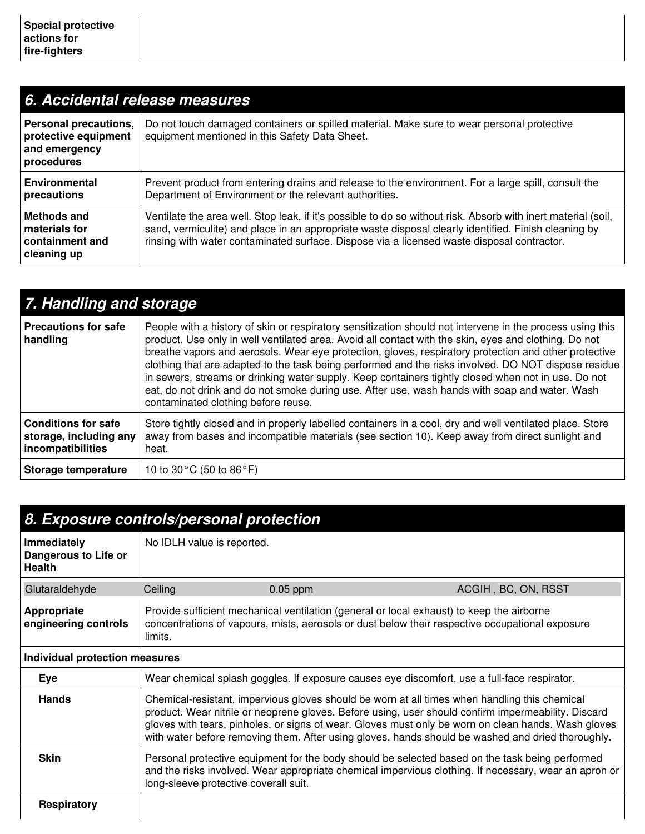| 6. Accidental release measures                                               |                                                                                                                                                                                                                                                                                                                     |  |  |
|------------------------------------------------------------------------------|---------------------------------------------------------------------------------------------------------------------------------------------------------------------------------------------------------------------------------------------------------------------------------------------------------------------|--|--|
| Personal precautions,<br>protective equipment<br>and emergency<br>procedures | Do not touch damaged containers or spilled material. Make sure to wear personal protective<br>equipment mentioned in this Safety Data Sheet.                                                                                                                                                                        |  |  |
| Environmental<br>precautions                                                 | Prevent product from entering drains and release to the environment. For a large spill, consult the<br>Department of Environment or the relevant authorities.                                                                                                                                                       |  |  |
| Methods and<br>materials for<br>containment and<br>cleaning up               | Ventilate the area well. Stop leak, if it's possible to do so without risk. Absorb with inert material (soil,<br>sand, vermiculite) and place in an appropriate waste disposal clearly identified. Finish cleaning by<br>rinsing with water contaminated surface. Dispose via a licensed waste disposal contractor. |  |  |

| 7. Handling and storage                                                   |                                                                                                                                                                                                                                                                                                                                                                                                                                                                                                                                                                                                                                                                                     |  |  |
|---------------------------------------------------------------------------|-------------------------------------------------------------------------------------------------------------------------------------------------------------------------------------------------------------------------------------------------------------------------------------------------------------------------------------------------------------------------------------------------------------------------------------------------------------------------------------------------------------------------------------------------------------------------------------------------------------------------------------------------------------------------------------|--|--|
| <b>Precautions for safe</b><br>handling                                   | People with a history of skin or respiratory sensitization should not intervene in the process using this<br>product. Use only in well ventilated area. Avoid all contact with the skin, eyes and clothing. Do not<br>breathe vapors and aerosols. Wear eye protection, gloves, respiratory protection and other protective<br>clothing that are adapted to the task being performed and the risks involved. DO NOT dispose residue<br>in sewers, streams or drinking water supply. Keep containers tightly closed when not in use. Do not<br>eat, do not drink and do not smoke during use. After use, wash hands with soap and water. Wash<br>contaminated clothing before reuse. |  |  |
| <b>Conditions for safe</b><br>storage, including any<br>incompatibilities | Store tightly closed and in properly labelled containers in a cool, dry and well ventilated place. Store<br>away from bases and incompatible materials (see section 10). Keep away from direct sunlight and<br>heat.                                                                                                                                                                                                                                                                                                                                                                                                                                                                |  |  |
| Storage temperature                                                       | 10 to 30 $^{\circ}$ C (50 to 86 $^{\circ}$ F)                                                                                                                                                                                                                                                                                                                                                                                                                                                                                                                                                                                                                                       |  |  |

| 8. Exposure controls/personal protection             |                                                                                                                                                                                                         |                                                                                                                                                                                                                                                                                                                 |  |  |
|------------------------------------------------------|---------------------------------------------------------------------------------------------------------------------------------------------------------------------------------------------------------|-----------------------------------------------------------------------------------------------------------------------------------------------------------------------------------------------------------------------------------------------------------------------------------------------------------------|--|--|
| Immediately<br>Dangerous to Life or<br><b>Health</b> | No IDLH value is reported.                                                                                                                                                                              |                                                                                                                                                                                                                                                                                                                 |  |  |
| Glutaraldehyde                                       | Ceiling<br>$0.05$ ppm                                                                                                                                                                                   | ACGIH, BC, ON, RSST                                                                                                                                                                                                                                                                                             |  |  |
| Appropriate<br>engineering controls                  | Provide sufficient mechanical ventilation (general or local exhaust) to keep the airborne<br>concentrations of vapours, mists, aerosols or dust below their respective occupational exposure<br>limits. |                                                                                                                                                                                                                                                                                                                 |  |  |
| Individual protection measures                       |                                                                                                                                                                                                         |                                                                                                                                                                                                                                                                                                                 |  |  |
| Eye                                                  | Wear chemical splash goggles. If exposure causes eye discomfort, use a full-face respirator.                                                                                                            |                                                                                                                                                                                                                                                                                                                 |  |  |
| <b>Hands</b>                                         | Chemical-resistant, impervious gloves should be worn at all times when handling this chemical                                                                                                           | product. Wear nitrile or neoprene gloves. Before using, user should confirm impermeability. Discard<br>gloves with tears, pinholes, or signs of wear. Gloves must only be worn on clean hands. Wash gloves<br>with water before removing them. After using gloves, hands should be washed and dried thoroughly. |  |  |
| <b>Skin</b>                                          | long-sleeve protective coverall suit.                                                                                                                                                                   | Personal protective equipment for the body should be selected based on the task being performed<br>and the risks involved. Wear appropriate chemical impervious clothing. If necessary, wear an apron or                                                                                                        |  |  |
| <b>Respiratory</b>                                   |                                                                                                                                                                                                         |                                                                                                                                                                                                                                                                                                                 |  |  |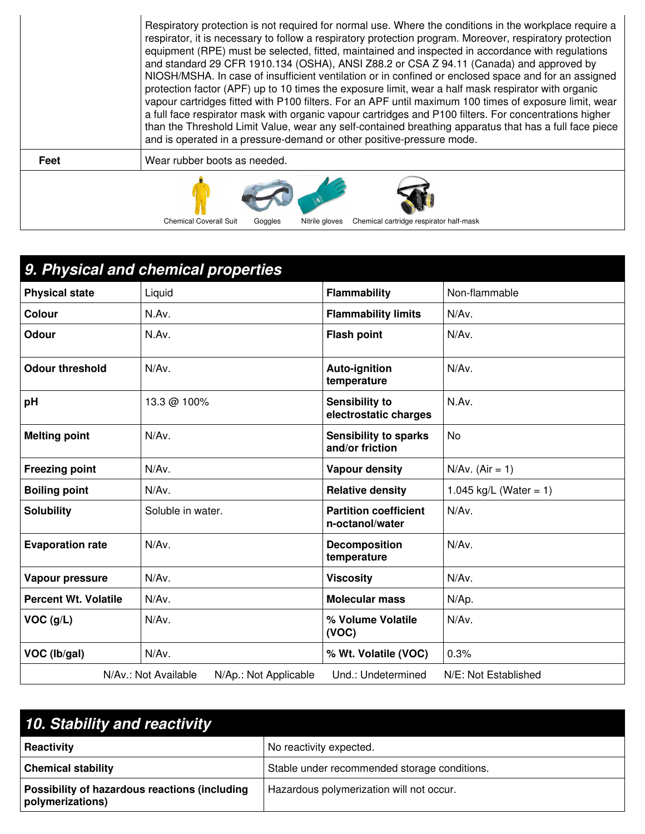|      | Respiratory protection is not required for normal use. Where the conditions in the workplace require a<br>respirator, it is necessary to follow a respiratory protection program. Moreover, respiratory protection<br>equipment (RPE) must be selected, fitted, maintained and inspected in accordance with regulations<br>and standard 29 CFR 1910.134 (OSHA), ANSI Z88.2 or CSA Z 94.11 (Canada) and approved by<br>NIOSH/MSHA. In case of insufficient ventilation or in confined or enclosed space and for an assigned<br>protection factor (APF) up to 10 times the exposure limit, wear a half mask respirator with organic<br>vapour cartridges fitted with P100 filters. For an APF until maximum 100 times of exposure limit, wear<br>a full face respirator mask with organic vapour cartridges and P100 filters. For concentrations higher<br>than the Threshold Limit Value, wear any self-contained breathing apparatus that has a full face piece<br>and is operated in a pressure-demand or other positive-pressure mode. |  |  |  |  |
|------|------------------------------------------------------------------------------------------------------------------------------------------------------------------------------------------------------------------------------------------------------------------------------------------------------------------------------------------------------------------------------------------------------------------------------------------------------------------------------------------------------------------------------------------------------------------------------------------------------------------------------------------------------------------------------------------------------------------------------------------------------------------------------------------------------------------------------------------------------------------------------------------------------------------------------------------------------------------------------------------------------------------------------------------|--|--|--|--|
| Feet | Wear rubber boots as needed.                                                                                                                                                                                                                                                                                                                                                                                                                                                                                                                                                                                                                                                                                                                                                                                                                                                                                                                                                                                                             |  |  |  |  |
|      | <b>Chemical Coverall Suit</b><br>Chemical cartridge respirator half-mask<br>Nitrile gloves<br>Goggles                                                                                                                                                                                                                                                                                                                                                                                                                                                                                                                                                                                                                                                                                                                                                                                                                                                                                                                                    |  |  |  |  |

|                                                                                             | 9. Physical and chemical properties |                                                 |                        |  |
|---------------------------------------------------------------------------------------------|-------------------------------------|-------------------------------------------------|------------------------|--|
| <b>Physical state</b>                                                                       | Liquid                              | <b>Flammability</b>                             | Non-flammable          |  |
| <b>Colour</b>                                                                               | N.Av.                               | <b>Flammability limits</b>                      | N/Av.                  |  |
| <b>Odour</b>                                                                                | N.Av.                               | <b>Flash point</b>                              | N/Av.                  |  |
| <b>Odour threshold</b>                                                                      | N/Av.                               | <b>Auto-ignition</b><br>temperature             | N/Av.                  |  |
| pH                                                                                          | 13.3 @ 100%                         | <b>Sensibility to</b><br>electrostatic charges  | N.Av.                  |  |
| <b>Melting point</b>                                                                        | N/Av.                               | <b>Sensibility to sparks</b><br>and/or friction | <b>No</b>              |  |
| <b>Freezing point</b>                                                                       | N/Av.                               | <b>Vapour density</b>                           | $N/Av.$ (Air = 1)      |  |
| <b>Boiling point</b>                                                                        | N/Av.                               | <b>Relative density</b>                         | 1.045 kg/L (Water = 1) |  |
| <b>Solubility</b>                                                                           | Soluble in water.                   | <b>Partition coefficient</b><br>n-octanol/water | N/Av.                  |  |
| <b>Evaporation rate</b>                                                                     | N/Av.                               | <b>Decomposition</b><br>temperature             | N/Av.                  |  |
| Vapour pressure                                                                             | N/Av.                               | <b>Viscosity</b>                                | N/Av.                  |  |
| <b>Percent Wt. Volatile</b>                                                                 | N/Av.                               | <b>Molecular mass</b>                           | N/Ap.                  |  |
| VOC (g/L)                                                                                   | N/Av.                               | % Volume Volatile<br>(VOC)                      | N/Av.                  |  |
| VOC (Ib/gal)                                                                                | N/Av.                               | % Wt. Volatile (VOC)                            | 0.3%                   |  |
| N/Av.: Not Available<br>Und.: Undetermined<br>N/E: Not Established<br>N/Ap.: Not Applicable |                                     |                                                 |                        |  |

| 10. Stability and reactivity                                      |                                              |  |  |  |
|-------------------------------------------------------------------|----------------------------------------------|--|--|--|
| <b>Reactivity</b>                                                 | No reactivity expected.                      |  |  |  |
| <b>Chemical stability</b>                                         | Stable under recommended storage conditions. |  |  |  |
| Possibility of hazardous reactions (including<br>polymerizations) | Hazardous polymerization will not occur.     |  |  |  |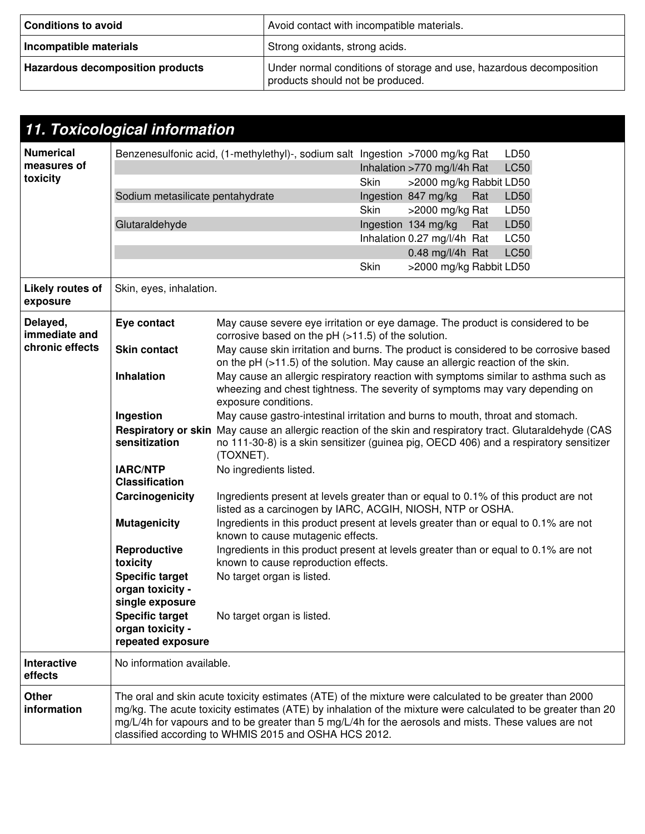| <b>Conditions to avoid</b>              | Avoid contact with incompatible materials.                                                              |
|-----------------------------------------|---------------------------------------------------------------------------------------------------------|
| Incompatible materials                  | Strong oxidants, strong acids.                                                                          |
| <b>Hazardous decomposition products</b> | Under normal conditions of storage and use, hazardous decomposition<br>products should not be produced. |

|                                             | 11. Toxicological information                                                                                                                                                                                                                                                                                                                                                             |                                                                                                                                                                                                                                           |      |                                                        |     |                     |
|---------------------------------------------|-------------------------------------------------------------------------------------------------------------------------------------------------------------------------------------------------------------------------------------------------------------------------------------------------------------------------------------------------------------------------------------------|-------------------------------------------------------------------------------------------------------------------------------------------------------------------------------------------------------------------------------------------|------|--------------------------------------------------------|-----|---------------------|
| <b>Numerical</b><br>measures of<br>toxicity |                                                                                                                                                                                                                                                                                                                                                                                           | Benzenesulfonic acid, (1-methylethyl)-, sodium salt Ingestion >7000 mg/kg Rat                                                                                                                                                             | Skin | Inhalation >770 mg/l/4h Rat<br>>2000 mg/kg Rabbit LD50 |     | LD50<br><b>LC50</b> |
|                                             | Sodium metasilicate pentahydrate                                                                                                                                                                                                                                                                                                                                                          |                                                                                                                                                                                                                                           | Skin | Ingestion 847 mg/kg<br>>2000 mg/kg Rat                 | Rat | LD50<br>LD50        |
|                                             | Glutaraldehyde                                                                                                                                                                                                                                                                                                                                                                            |                                                                                                                                                                                                                                           |      | Ingestion 134 mg/kg<br>Inhalation 0.27 mg/l/4h Rat     | Rat | LD50<br><b>LC50</b> |
|                                             |                                                                                                                                                                                                                                                                                                                                                                                           |                                                                                                                                                                                                                                           |      | 0.48 mg/l/4h Rat                                       |     | <b>LC50</b>         |
|                                             |                                                                                                                                                                                                                                                                                                                                                                                           |                                                                                                                                                                                                                                           | Skin | >2000 mg/kg Rabbit LD50                                |     |                     |
| <b>Likely routes of</b><br>exposure         | Skin, eyes, inhalation.                                                                                                                                                                                                                                                                                                                                                                   |                                                                                                                                                                                                                                           |      |                                                        |     |                     |
| Delayed,<br>immediate and                   | Eye contact                                                                                                                                                                                                                                                                                                                                                                               | May cause severe eye irritation or eye damage. The product is considered to be<br>corrosive based on the $pH$ ( $>11.5$ ) of the solution.                                                                                                |      |                                                        |     |                     |
| chronic effects                             | <b>Skin contact</b>                                                                                                                                                                                                                                                                                                                                                                       | May cause skin irritation and burns. The product is considered to be corrosive based<br>on the pH (>11.5) of the solution. May cause an allergic reaction of the skin.                                                                    |      |                                                        |     |                     |
|                                             | Inhalation                                                                                                                                                                                                                                                                                                                                                                                | May cause an allergic respiratory reaction with symptoms similar to asthma such as<br>wheezing and chest tightness. The severity of symptoms may vary depending on<br>exposure conditions.                                                |      |                                                        |     |                     |
|                                             | Ingestion                                                                                                                                                                                                                                                                                                                                                                                 | May cause gastro-intestinal irritation and burns to mouth, throat and stomach.                                                                                                                                                            |      |                                                        |     |                     |
|                                             | sensitization                                                                                                                                                                                                                                                                                                                                                                             | Respiratory or skin May cause an allergic reaction of the skin and respiratory tract. Glutaraldehyde (CAS<br>no 111-30-8) is a skin sensitizer (guinea pig, OECD 406) and a respiratory sensitizer<br>(TOXNET).<br>No ingredients listed. |      |                                                        |     |                     |
|                                             | <b>IARC/NTP</b><br><b>Classification</b>                                                                                                                                                                                                                                                                                                                                                  |                                                                                                                                                                                                                                           |      |                                                        |     |                     |
|                                             | Carcinogenicity                                                                                                                                                                                                                                                                                                                                                                           | Ingredients present at levels greater than or equal to 0.1% of this product are not<br>listed as a carcinogen by IARC, ACGIH, NIOSH, NTP or OSHA.                                                                                         |      |                                                        |     |                     |
|                                             | <b>Mutagenicity</b>                                                                                                                                                                                                                                                                                                                                                                       | Ingredients in this product present at levels greater than or equal to 0.1% are not<br>known to cause mutagenic effects.                                                                                                                  |      |                                                        |     |                     |
|                                             | Reproductive<br>toxicity                                                                                                                                                                                                                                                                                                                                                                  | Ingredients in this product present at levels greater than or equal to 0.1% are not<br>known to cause reproduction effects.                                                                                                               |      |                                                        |     |                     |
|                                             | <b>Specific target</b><br>organ toxicity -<br>single exposure                                                                                                                                                                                                                                                                                                                             | No target organ is listed.                                                                                                                                                                                                                |      |                                                        |     |                     |
|                                             | <b>Specific target</b><br>organ toxicity -<br>repeated exposure                                                                                                                                                                                                                                                                                                                           | No target organ is listed.                                                                                                                                                                                                                |      |                                                        |     |                     |
| <b>Interactive</b><br>effects               | No information available.                                                                                                                                                                                                                                                                                                                                                                 |                                                                                                                                                                                                                                           |      |                                                        |     |                     |
| <b>Other</b><br>information                 | The oral and skin acute toxicity estimates (ATE) of the mixture were calculated to be greater than 2000<br>mg/kg. The acute toxicity estimates (ATE) by inhalation of the mixture were calculated to be greater than 20<br>mg/L/4h for vapours and to be greater than 5 mg/L/4h for the aerosols and mists. These values are not<br>classified according to WHMIS 2015 and OSHA HCS 2012. |                                                                                                                                                                                                                                           |      |                                                        |     |                     |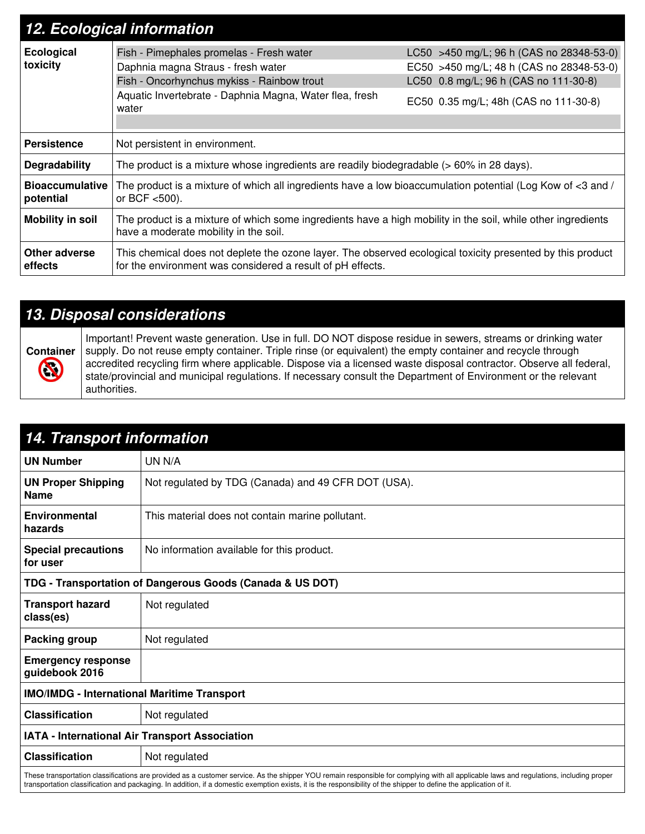| 12. Ecological information          |                                                                                                                                                                                                  |                                                                                                                                                                        |  |  |  |  |
|-------------------------------------|--------------------------------------------------------------------------------------------------------------------------------------------------------------------------------------------------|------------------------------------------------------------------------------------------------------------------------------------------------------------------------|--|--|--|--|
| <b>Ecological</b><br>toxicity       | Fish - Pimephales promelas - Fresh water<br>Daphnia magna Straus - fresh water<br>Fish - Oncorhynchus mykiss - Rainbow trout<br>Aquatic Invertebrate - Daphnia Magna, Water flea, fresh<br>water | LC50 >450 mg/L; 96 h (CAS no 28348-53-0)<br>EC50 >450 mg/L; 48 h (CAS no 28348-53-0)<br>LC50 0.8 mg/L; 96 h (CAS no 111-30-8)<br>EC50 0.35 mg/L; 48h (CAS no 111-30-8) |  |  |  |  |
| <b>Persistence</b>                  | Not persistent in environment.                                                                                                                                                                   |                                                                                                                                                                        |  |  |  |  |
| Degradability                       | The product is a mixture whose ingredients are readily biodegradable (> 60% in 28 days).                                                                                                         |                                                                                                                                                                        |  |  |  |  |
| <b>Bioaccumulative</b><br>potential | The product is a mixture of which all ingredients have a low bioaccumulation potential (Log Kow of $<$ 3 and /<br>or BCF <500).                                                                  |                                                                                                                                                                        |  |  |  |  |
| <b>Mobility in soil</b>             | The product is a mixture of which some ingredients have a high mobility in the soil, while other ingredients<br>have a moderate mobility in the soil.                                            |                                                                                                                                                                        |  |  |  |  |
| Other adverse<br>effects            | This chemical does not deplete the ozone layer. The observed ecological toxicity presented by this product<br>for the environment was considered a result of pH effects.                         |                                                                                                                                                                        |  |  |  |  |

## *13. Disposal considerations*



Important! Prevent waste generation. Use in full. DO NOT dispose residue in sewers, streams or drinking water supply. Do not reuse empty container. Triple rinse (or equivalent) the empty container and recycle through accredited recycling firm where applicable. Dispose via a licensed waste disposal contractor. Observe all federal, state/provincial and municipal regulations. If necessary consult the Department of Environment or the relevant authorities.

| <b>14. Transport information</b>                          |                                                                                                                                                                                                                                                                                                                                                               |  |  |  |  |
|-----------------------------------------------------------|---------------------------------------------------------------------------------------------------------------------------------------------------------------------------------------------------------------------------------------------------------------------------------------------------------------------------------------------------------------|--|--|--|--|
| <b>UN Number</b>                                          | UN N/A                                                                                                                                                                                                                                                                                                                                                        |  |  |  |  |
| <b>UN Proper Shipping</b><br><b>Name</b>                  | Not regulated by TDG (Canada) and 49 CFR DOT (USA).                                                                                                                                                                                                                                                                                                           |  |  |  |  |
| <b>Environmental</b><br>hazards                           | This material does not contain marine pollutant.                                                                                                                                                                                                                                                                                                              |  |  |  |  |
| <b>Special precautions</b><br>for user                    | No information available for this product.                                                                                                                                                                                                                                                                                                                    |  |  |  |  |
| TDG - Transportation of Dangerous Goods (Canada & US DOT) |                                                                                                                                                                                                                                                                                                                                                               |  |  |  |  |
| <b>Transport hazard</b><br>class(es)                      | Not regulated                                                                                                                                                                                                                                                                                                                                                 |  |  |  |  |
| Packing group                                             | Not regulated                                                                                                                                                                                                                                                                                                                                                 |  |  |  |  |
| <b>Emergency response</b><br>guidebook 2016               |                                                                                                                                                                                                                                                                                                                                                               |  |  |  |  |
| <b>IMO/IMDG - International Maritime Transport</b>        |                                                                                                                                                                                                                                                                                                                                                               |  |  |  |  |
| <b>Classification</b>                                     | Not regulated                                                                                                                                                                                                                                                                                                                                                 |  |  |  |  |
| IATA - International Air Transport Association            |                                                                                                                                                                                                                                                                                                                                                               |  |  |  |  |
| <b>Classification</b>                                     | Not regulated                                                                                                                                                                                                                                                                                                                                                 |  |  |  |  |
|                                                           | These transportation classifications are provided as a customer service. As the shipper YOU remain responsible for complying with all applicable laws and regulations, including proper<br>transportation classification and packaging. In addition, if a domestic exemption exists, it is the responsibility of the shipper to define the application of it. |  |  |  |  |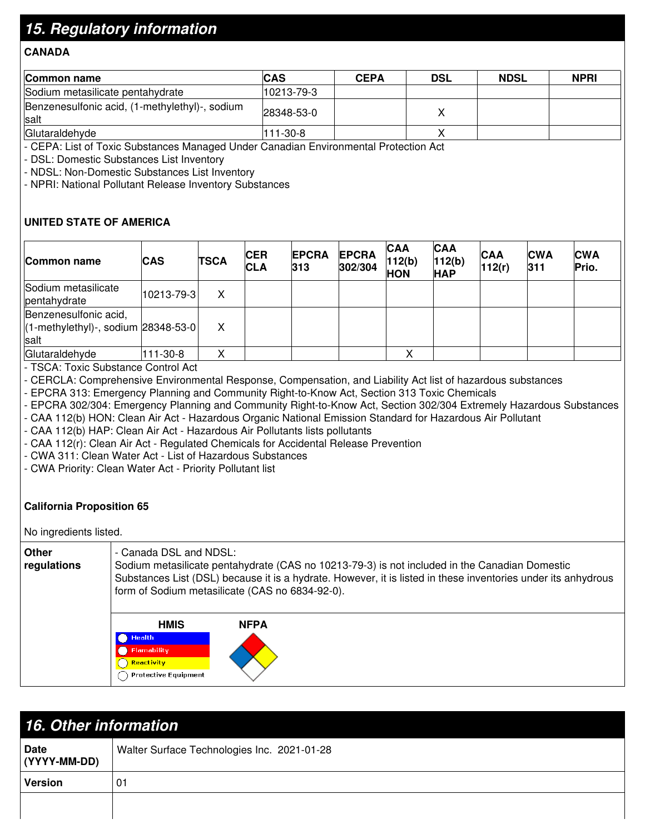## *15. Regulatory information*

### **CANADA**

| <b>Common name</b>                                            | <b>CAS</b> | <b>CEPA</b> | <b>DSL</b> | <b>NDSL</b> | <b>NPRI</b> |
|---------------------------------------------------------------|------------|-------------|------------|-------------|-------------|
| Sodium metasilicate pentahydrate                              | 10213-79-3 |             |            |             |             |
| Benzenesulfonic acid, (1-methylethyl)-, sodium<br><b>salt</b> | 28348-53-0 |             |            |             |             |
| Glutaraldehyde                                                | 111-30-8   |             |            |             |             |

- CEPA: List of Toxic Substances Managed Under Canadian Environmental Protection Act

- DSL: Domestic Substances List Inventory

- NDSL: Non-Domestic Substances List Inventory

- NPRI: National Pollutant Release Inventory Substances

### **UNITED STATE OF AMERICA**

| Common name                                                              | <b>CAS</b> | <b>TSCA</b> | <b>CER</b><br><b>CLA</b> | <b>EPCRA</b><br>313 | <b>EPCRA</b><br>302/304 | <b>CAA</b><br>112(b)<br><b>HON</b> | <b>CAA</b><br>112(b)<br><b>HAP</b> | <b>CAA</b><br>112(r) | <b>CWA</b><br> 311 | <b>CWA</b><br>Prio. |
|--------------------------------------------------------------------------|------------|-------------|--------------------------|---------------------|-------------------------|------------------------------------|------------------------------------|----------------------|--------------------|---------------------|
| Sodium metasilicate<br>pentahydrate                                      | 10213-79-3 | x           |                          |                     |                         |                                    |                                    |                      |                    |                     |
| Benzenesulfonic acid,<br>$(1-methylethyl)$ -, sodium 28348-53-0<br>Isalt |            | Χ           |                          |                     |                         |                                    |                                    |                      |                    |                     |
| Glutaraldehyde                                                           | 111-30-8   | $\sqrt{ }$  |                          |                     |                         |                                    |                                    |                      |                    |                     |

- TSCA: Toxic Substance Control Act

- CERCLA: Comprehensive Environmental Response, Compensation, and Liability Act list of hazardous substances

- EPCRA 313: Emergency Planning and Community Right-to-Know Act, Section 313 Toxic Chemicals

- EPCRA 302/304: Emergency Planning and Community Right-to-Know Act, Section 302/304 Extremely Hazardous Substances

- CAA 112(b) HON: Clean Air Act - Hazardous Organic National Emission Standard for Hazardous Air Pollutant

- CAA 112(b) HAP: Clean Air Act - Hazardous Air Pollutants lists pollutants

- CAA 112(r): Clean Air Act - Regulated Chemicals for Accidental Release Prevention

- CWA 311: Clean Water Act - List of Hazardous Substances

- CWA Priority: Clean Water Act - Priority Pollutant list

### **California Proposition 65**

#### No ingredients listed.

| Other<br>regulations | - Canada DSL and NDSL:<br>Sodium metasilicate pentahydrate (CAS no 10213-79-3) is not included in the Canadian Domestic<br>Substances List (DSL) because it is a hydrate. However, it is listed in these inventories under its anhydrous<br>form of Sodium metasilicate (CAS no 6834-92-0). |  |  |  |  |
|----------------------|---------------------------------------------------------------------------------------------------------------------------------------------------------------------------------------------------------------------------------------------------------------------------------------------|--|--|--|--|
|                      | <b>HMIS</b><br><b>NFPA</b><br><b>Health</b><br><b>Flamability</b><br><b>Reactivity</b><br><b>Protective Equipment</b>                                                                                                                                                                       |  |  |  |  |

| <b>16. Other information</b> |                                             |  |  |
|------------------------------|---------------------------------------------|--|--|
| <b>Date</b><br>(YYYY-MM-DD)  | Walter Surface Technologies Inc. 2021-01-28 |  |  |
| <b>Version</b>               | 01                                          |  |  |
|                              |                                             |  |  |